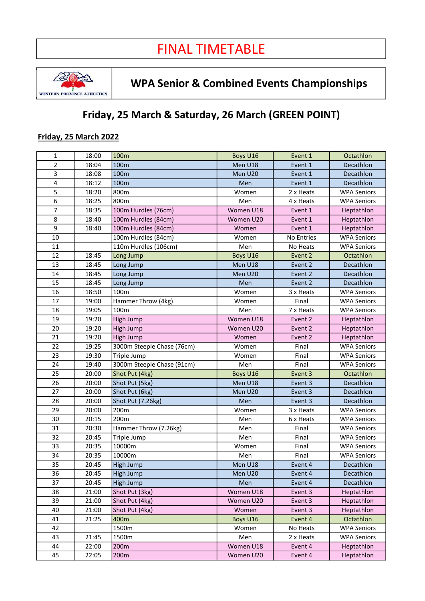

# WPA Senior & Combined Events Championships

## Friday, 25 March & Saturday, 26 March (GREEN POINT)

### Friday, 25 March 2022

| 1              | 18:00 | 100m                       | Boys U16  | Event 1    | Octathlon          |
|----------------|-------|----------------------------|-----------|------------|--------------------|
| $\overline{2}$ | 18:04 | 100m                       | Men U18   | Event 1    | Decathlon          |
| 3              | 18:08 | 100m                       | Men U20   | Event 1    | Decathlon          |
| $\pmb{4}$      | 18:12 | 100m                       | Men       | Event 1    | Decathlon          |
| 5              | 18:20 | 800m                       | Women     | 2 x Heats  | <b>WPA Seniors</b> |
| 6              | 18:25 | 800m                       | Men       | 4 x Heats  | <b>WPA Seniors</b> |
| $\overline{7}$ | 18:35 | 100m Hurdles (76cm)        | Women U18 | Event 1    | Heptathlon         |
| 8              | 18:40 | 100m Hurdles (84cm)        | Women U20 | Event 1    | Heptathlon         |
| 9              | 18:40 | 100m Hurdles (84cm)        | Women     | Event 1    | Heptathlon         |
| 10             |       | 100m Hurdles (84cm)        | Women     | No Entries | <b>WPA Seniors</b> |
| 11             |       | 110m Hurdles (106cm)       | Men       | No Heats   | <b>WPA Seniors</b> |
| 12             | 18:45 | Long Jump                  | Boys U16  | Event 2    | Octathlon          |
| 13             | 18:45 | Long Jump                  | Men U18   | Event 2    | Decathlon          |
| 14             | 18:45 | Long Jump                  | Men U20   | Event 2    | Decathlon          |
| 15             | 18:45 | Long Jump                  | Men       | Event 2    | Decathlon          |
| 16             | 18:50 | 100m                       | Women     | 3 x Heats  | <b>WPA Seniors</b> |
| 17             | 19:00 | Hammer Throw (4kg)         | Women     | Final      | <b>WPA Seniors</b> |
| 18             | 19:05 | 100m                       | Men       | 7 x Heats  | <b>WPA Seniors</b> |
| 19             | 19:20 | <b>High Jump</b>           | Women U18 | Event 2    | Heptathlon         |
| 20             | 19:20 | High Jump                  | Women U20 | Event 2    | Heptathlon         |
| 21             | 19:20 | High Jump                  | Women     | Event 2    | Heptathlon         |
| 22             | 19:25 | 3000m Steeple Chase (76cm) | Women     | Final      | <b>WPA Seniors</b> |
| 23             | 19:30 | Triple Jump                | Women     | Final      | <b>WPA Seniors</b> |
| 24             | 19:40 | 3000m Steeple Chase (91cm) | Men       | Final      | <b>WPA Seniors</b> |
| 25             | 20:00 | Shot Put (4kg)             | Boys U16  | Event 3    | Octathlon          |
| 26             | 20:00 | Shot Put (5kg)             | Men U18   | Event 3    | Decathlon          |
| 27             | 20:00 | Shot Put (6kg)             | Men U20   | Event 3    | Decathlon          |
| 28             | 20:00 | Shot Put (7.26kg)          | Men       | Event 3    | Decathlon          |
| 29             | 20:00 | 200m                       | Women     | 3 x Heats  | <b>WPA Seniors</b> |
| 30             | 20:15 | 200m                       | Men       | 6 x Heats  | <b>WPA Seniors</b> |
| 31             | 20:30 | Hammer Throw (7.26kg)      | Men       | Final      | <b>WPA Seniors</b> |
| 32             | 20:45 | Triple Jump                | Men       | Final      | <b>WPA Seniors</b> |
| 33             | 20:35 | 10000m                     | Women     | Final      | <b>WPA Seniors</b> |
| 34             | 20:35 | 10000m                     | Men       | Final      | <b>WPA Seniors</b> |
| 35             | 20:45 | <b>High Jump</b>           | Men U18   | Event 4    | Decathlon          |
| 36             | 20:45 | High Jump                  | Men U20   | Event 4    | Decathlon          |
| 37             | 20:45 | High Jump                  | Men       | Event 4    | Decathlon          |
| 38             | 21:00 | Shot Put (3kg)             | Women U18 | Event 3    | Heptathlon         |
| 39             | 21:00 | Shot Put (4kg)             | Women U20 | Event 3    | Heptathlon         |
| 40             | 21:00 | Shot Put (4kg)             | Women     | Event 3    | Heptathlon         |
| 41             | 21:25 | 400m                       | Boys U16  | Event 4    | Octathlon          |
| 42             |       | 1500m                      | Women     | No Heats   | <b>WPA Seniors</b> |
| 43             | 21:45 | 1500m                      | Men       | 2 x Heats  | <b>WPA Seniors</b> |
| 44             | 22:00 | 200m                       | Women U18 | Event 4    | Heptathlon         |
| 45             | 22:05 | 200m                       | Women U20 | Event 4    | Heptathlon         |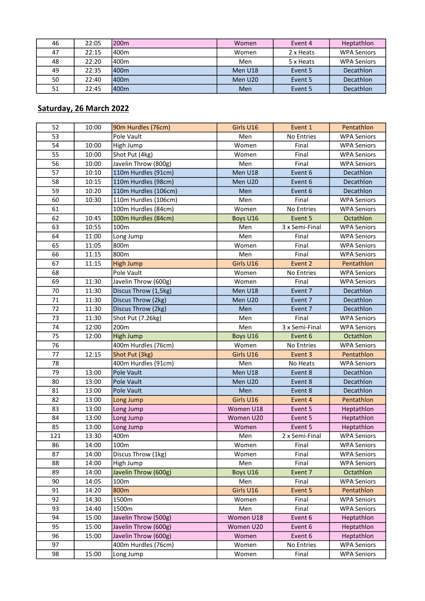| 46 | 22:05 | 200m             | Women   | Event 4   | Heptathlon         |
|----|-------|------------------|---------|-----------|--------------------|
| 47 | 22:15 | 400m             | Women   | 2 x Heats | <b>WPA Seniors</b> |
| 48 | 22:20 | 400 <sub>m</sub> | Men     | 5 x Heats | <b>WPA Seniors</b> |
| 49 | 22:35 | 400 <sub>m</sub> | Men U18 | Event 5   | <b>Decathlon</b>   |
| 50 | 22:40 | 400 <sub>m</sub> | Men U20 | Event 5   | Decathlon          |
| 51 | 22:45 | 400m             | Men     | Event 5   | Decathlon          |

## Saturday, 26 March 2022

| 52  | 10:00 | 90m Hurdles (76cm)   | Girls U16 | Event 1        | Pentathlon         |
|-----|-------|----------------------|-----------|----------------|--------------------|
| 53  |       | Pole Vault           | Men       | No Entries     | <b>WPA Seniors</b> |
| 54  | 10:00 | High Jump            | Women     | Final          | <b>WPA Seniors</b> |
| 55  | 10:00 | Shot Put (4kg)       | Women     | Final          | <b>WPA Seniors</b> |
| 56  | 10:00 | Javelin Throw (800g) | Men       | Final          | <b>WPA Seniors</b> |
| 57  | 10:10 | 110m Hurdles (91cm)  | Men U18   | Event 6        | Decathlon          |
| 58  | 10:15 | 110m Hurdles (98cm)  | Men U20   | Event 6        | Decathlon          |
| 59  | 10:20 | 110m Hurdles (106cm) | Men       | Event 6        | Decathlon          |
| 60  | 10:30 | 110m Hurdles (106cm) | Men       | Final          | <b>WPA Seniors</b> |
| 61  |       | 100m Hurdles (84cm)  | Women     | No Entries     | <b>WPA Seniors</b> |
| 62  | 10:45 | 100m Hurdles (84cm)  | Boys U16  | Event 5        | Octathlon          |
| 63  | 10:55 | 100m                 | Men       | 3 x Semi-Final | <b>WPA Seniors</b> |
| 64  | 11:00 | Long Jump            | Men       | Final          | <b>WPA Seniors</b> |
| 65  | 11:05 | 800m                 | Women     | Final          | <b>WPA Seniors</b> |
| 66  | 11:15 | 800m                 | Men       | Final          | <b>WPA Seniors</b> |
| 67  | 11:15 | <b>High Jump</b>     | Girls U16 | Event 2        | Pentathlon         |
| 68  |       | Pole Vault           | Women     | No Entries     | <b>WPA Seniors</b> |
| 69  | 11:30 | Javelin Throw (600g) | Women     | Final          | <b>WPA Seniors</b> |
| 70  | 11:30 | Discus Throw (1,5kg) | Men U18   | Event 7        | Decathlon          |
| 71  | 11:30 | Discus Throw (2kg)   | Men U20   | Event 7        | Decathlon          |
| 72  | 11:30 | Discus Throw (2kg)   | Men       | Event 7        | Decathlon          |
| 73  | 11:30 | Shot Put (7.26kg)    | Men       | Final          | <b>WPA Seniors</b> |
| 74  | 12:00 | 200m                 | Men       | 3 x Semi-Final | <b>WPA Seniors</b> |
| 75  | 12:00 | <b>High Jump</b>     | Boys U16  | Event 6        | Octathlon          |
| 76  |       | 400m Hurdles (76cm)  | Women     | No Entries     | <b>WPA Seniors</b> |
| 77  | 12:15 | Shot Put (3kg)       | Girls U16 | Event 3        | Pentathlon         |
| 78  |       | 400m Hurdles (91cm)  | Men       | No Heats       | <b>WPA Seniors</b> |
| 79  | 13:00 | Pole Vault           | Men U18   | Event 8        | Decathlon          |
| 80  | 13:00 | Pole Vault           | Men U20   | Event 8        | Decathlon          |
| 81  | 13:00 | Pole Vault           | Men       | Event 8        | Decathlon          |
| 82  | 13:00 | Long Jump            | Girls U16 | Event 4        | Pentathlon         |
| 83  | 13:00 | Long Jump            | Women U18 | Event 5        | Heptathlon         |
| 84  | 13:00 | Long Jump            | Women U20 | Event 5        | Heptathlon         |
| 85  | 13:00 | Long Jump            | Women     | Event 5        | Heptathlon         |
| 121 | 13:30 | 400m                 | Men       | 2 x Semi-Final | <b>WPA Seniors</b> |
| 86  | 14:00 | 100m                 | Women     | Final          | <b>WPA Seniors</b> |
| 87  | 14:00 | Discus Throw (1kg)   | Women     | Final          | <b>WPA Seniors</b> |
| 88  | 14:00 | High Jump            | Men       | Final          | <b>WPA Seniors</b> |
| 89  | 14:00 | Javelin Throw (600g) | Boys U16  | Event 7        | Octathlon          |
| 90  | 14:05 | 100m                 | Men       | Final          | <b>WPA Seniors</b> |
| 91  | 14:20 | 800m                 | Girls U16 | Event 5        | Pentathlon         |
| 92  | 14:30 | 1500m                | Women     | Final          | <b>WPA Seniors</b> |
| 93  | 14:40 | 1500m                | Men       | Final          | <b>WPA Seniors</b> |
| 94  | 15:00 | Javelin Throw (500g) | Women U18 | Event 6        | Heptathlon         |
| 95  | 15:00 | Javelin Throw (600g) | Women U20 | Event 6        | Heptathlon         |
| 96  | 15:00 | Javelin Throw (600g) | Women     | Event 6        | Heptathlon         |
| 97  |       | 400m Hurdles (76cm)  | Women     | No Entries     | <b>WPA Seniors</b> |
| 98  | 15:00 | Long Jump            | Women     | Final          | <b>WPA Seniors</b> |